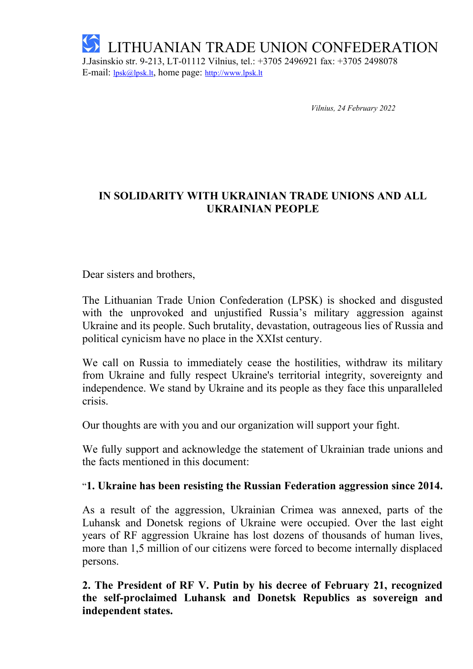

*Vilnius, 24 February 2022*

## **IN SOLIDARITY WITH UKRAINIAN TRADE UNIONS AND ALL UKRAINIAN PEOPLE**

Dear sisters and brothers,

The Lithuanian Trade Union Confederation (LPSK) is shocked and disgusted with the unprovoked and unjustified Russia's military aggression against Ukraine and its people. Such brutality, devastation, outrageous lies of Russia and political cynicism have no place in the XXIst century.

We call on Russia to immediately cease the hostilities, withdraw its military from Ukraine and fully respect Ukraine's territorial integrity, sovereignty and independence. We stand by Ukraine and its people as they face this unparalleled crisis.

Our thoughts are with you and our organization will support your fight.

We fully support and acknowledge the statement of Ukrainian trade unions and the facts mentioned in this document:

## "**1. Ukraine has been resisting the Russian Federation aggression since 2014.**

As a result of the aggression, Ukrainian Crimea was annexed, parts of the Luhansk and Donetsk regions of Ukraine were occupied. Over the last eight years of RF aggression Ukraine has lost dozens of thousands of human lives, more than 1,5 million of our citizens were forced to become internally displaced persons.

**2. The President of RF V. Putin by his decree of February 21, recognized the self-proclaimed Luhansk and Donetsk Republics as sovereign and independent states.**